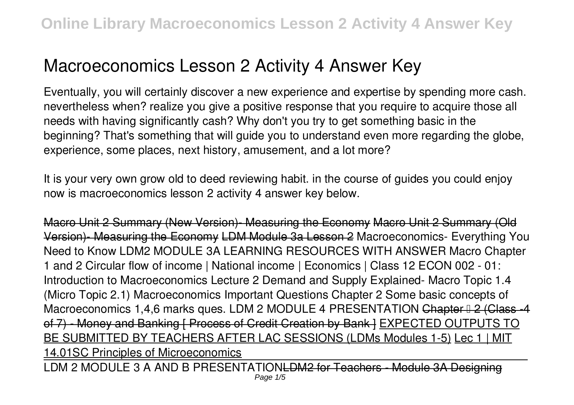# **Macroeconomics Lesson 2 Activity 4 Answer Key**

Eventually, you will certainly discover a new experience and expertise by spending more cash. nevertheless when? realize you give a positive response that you require to acquire those all needs with having significantly cash? Why don't you try to get something basic in the beginning? That's something that will guide you to understand even more regarding the globe, experience, some places, next history, amusement, and a lot more?

It is your very own grow old to deed reviewing habit. in the course of guides you could enjoy now is **macroeconomics lesson 2 activity 4 answer key** below.

Macro Unit 2 Summary (New Version)- Measuring the Economy Macro Unit 2 Summary (Old Version)- Measuring the Economy LDM Module 3a Lesson 2 *Macroeconomics- Everything You Need to Know* **LDM2 MODULE 3A LEARNING RESOURCES WITH ANSWER** Macro Chapter 1 and 2 Circular flow of income | National income | Economics | Class 12 ECON 002 - 01: Introduction to Macroeconomics Lecture 2 *Demand and Supply Explained- Macro Topic 1.4 (Micro Topic 2.1)* Macroeconomics Important Questions Chapter 2 Some basic concepts of Macroeconomics 1,4,6 marks ques. LDM 2 MODULE 4 PRESENTATION Chapter  $\frac{12}{12}$  (Class -4 of 7) - Money and Banking [ Process of Credit Creation by Bank ] EXPECTED OUTPUTS TO BE SUBMITTED BY TEACHERS AFTER LAC SESSIONS (LDMs Modules 1-5) Lec 1 | MIT 14.01SC Principles of Microeconomics

LDM 2 MODULE 3 A AND B PRESENTATIONLDM2 for Teachers - Module 3A Designing Page 1/5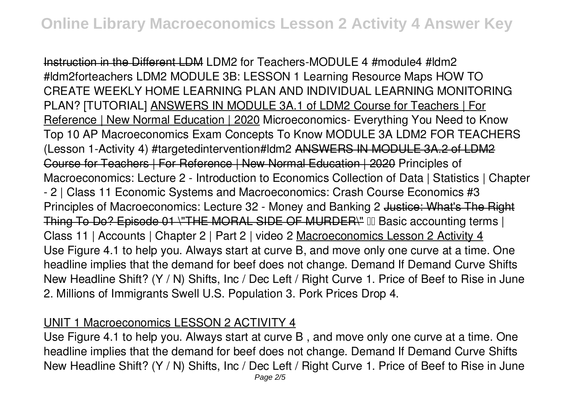Instruction in the Different LDM **LDM2 for Teachers-MODULE 4 #module4 #ldm2 #ldm2forteachers LDM2 MODULE 3B: LESSON 1 Learning Resource Maps** *HOW TO CREATE WEEKLY HOME LEARNING PLAN AND INDIVIDUAL LEARNING MONITORING PLAN? [TUTORIAL]* ANSWERS IN MODULE 3A.1 of LDM2 Course for Teachers | For Reference | New Normal Education | 2020 *Microeconomics- Everything You Need to Know* **Top 10 AP Macroeconomics Exam Concepts To Know MODULE 3A LDM2 FOR TEACHERS (Lesson 1-Activity 4) #targetedintervention#ldm2** ANSWERS IN MODULE 3A.2 of LDM2 Course for Teachers | For Reference | New Normal Education | 2020 Principles of Macroeconomics: Lecture 2 - Introduction to Economics *Collection of Data | Statistics | Chapter - 2 | Class 11* **Economic Systems and Macroeconomics: Crash Course Economics #3** Principles of Macroeconomics: Lecture 32 - Money and Banking 2 Justice: What's The Right Thing To Do? Episode 01 \"THE MORAL SIDE OF MURDER\" III Basic accounting terms | **Class 11 | Accounts | Chapter 2 | Part 2 | video 2** Macroeconomics Lesson 2 Activity 4 Use Figure 4.1 to help you. Always start at curve B, and move only one curve at a time. One headline implies that the demand for beef does not change. Demand If Demand Curve Shifts New Headline Shift? (Y / N) Shifts, Inc / Dec Left / Right Curve 1. Price of Beef to Rise in June 2. Millions of Immigrants Swell U.S. Population 3. Pork Prices Drop 4.

#### UNIT 1 Macroeconomics LESSON 2 ACTIVITY 4

Use Figure 4.1 to help you. Always start at curve B , and move only one curve at a time. One headline implies that the demand for beef does not change. Demand If Demand Curve Shifts New Headline Shift? (Y / N) Shifts, Inc / Dec Left / Right Curve 1. Price of Beef to Rise in June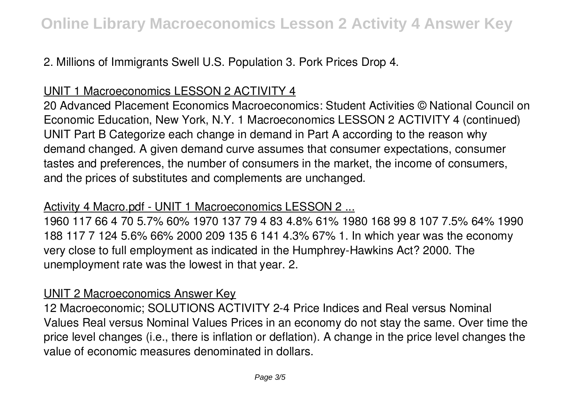# 2. Millions of Immigrants Swell U.S. Population 3. Pork Prices Drop 4.

# UNIT 1 Macroeconomics LESSON 2 ACTIVITY 4

20 Advanced Placement Economics Macroeconomics: Student Activities © National Council on Economic Education, New York, N.Y. 1 Macroeconomics LESSON 2 ACTIVITY 4 (continued) UNIT Part B Categorize each change in demand in Part A according to the reason why demand changed. A given demand curve assumes that consumer expectations, consumer tastes and preferences, the number of consumers in the market, the income of consumers, and the prices of substitutes and complements are unchanged.

# Activity 4 Macro.pdf - UNIT 1 Macroeconomics LESSON 2 ...

1960 117 66 4 70 5.7% 60% 1970 137 79 4 83 4.8% 61% 1980 168 99 8 107 7.5% 64% 1990 188 117 7 124 5.6% 66% 2000 209 135 6 141 4.3% 67% 1. In which year was the economy very close to full employment as indicated in the Humphrey-Hawkins Act? 2000. The unemployment rate was the lowest in that year. 2.

#### UNIT 2 Macroeconomics Answer Key

12 Macroeconomic; SOLUTIONS ACTIVITY 2-4 Price Indices and Real versus Nominal Values Real versus Nominal Values Prices in an economy do not stay the same. Over time the price level changes (i.e., there is inflation or deflation). A change in the price level changes the value of economic measures denominated in dollars.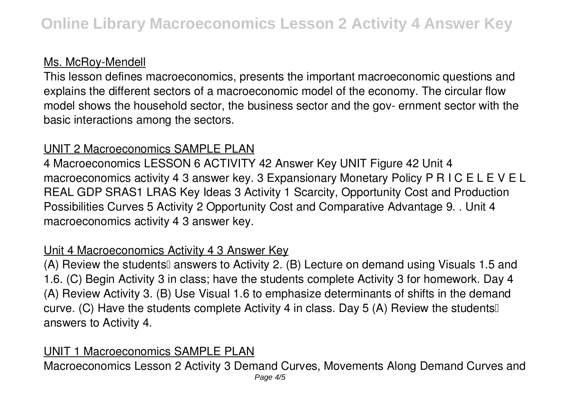# Ms. McRoy-Mendell

This lesson defines macroeconomics, presents the important macroeconomic questions and explains the different sectors of a macroeconomic model of the economy. The circular flow model shows the household sector, the business sector and the gov- ernment sector with the basic interactions among the sectors.

# UNIT 2 Macroeconomics SAMPLE PLAN

4 Macroeconomics LESSON 6 ACTIVITY 42 Answer Key UNIT Figure 42 Unit 4 macroeconomics activity 4 3 answer key. 3 Expansionary Monetary Policy P R I C E L E V E L REAL GDP SRAS1 LRAS Key Ideas 3 Activity 1 Scarcity, Opportunity Cost and Production Possibilities Curves 5 Activity 2 Opportunity Cost and Comparative Advantage 9. . Unit 4 macroeconomics activity 4 3 answer key.

# Unit 4 Macroeconomics Activity 4 3 Answer Key

(A) Review the studentsl answers to Activity 2. (B) Lecture on demand using Visuals 1.5 and 1.6. (C) Begin Activity 3 in class; have the students complete Activity 3 for homework. Day 4 (A) Review Activity 3. (B) Use Visual 1.6 to emphasize determinants of shifts in the demand curve. (C) Have the students complete Activity 4 in class. Day 5 (A) Review the students answers to Activity 4.

# UNIT 1 Macroeconomics SAMPLE PLAN

Macroeconomics Lesson 2 Activity 3 Demand Curves, Movements Along Demand Curves and Page  $4/5$